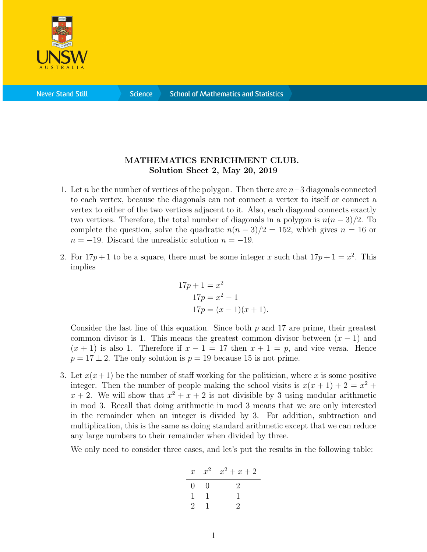

**Science** 

## MATHEMATICS ENRICHMENT CLUB. Solution Sheet 2, May 20, 2019

- 1. Let n be the number of vertices of the polygon. Then there are  $n-3$  diagonals connected to each vertex, because the diagonals can not connect a vertex to itself or connect a vertex to either of the two vertices adjacent to it. Also, each diagonal connects exactly two vertices. Therefore, the total number of diagonals in a polygon is  $n(n-3)/2$ . To complete the question, solve the quadratic  $n(n-3)/2 = 152$ , which gives  $n = 16$  or  $n = -19$ . Discard the unrealistic solution  $n = -19$ .
- 2. For  $17p + 1$  to be a square, there must be some integer x such that  $17p + 1 = x^2$ . This implies

$$
17p + 1 = x2
$$
  
\n
$$
17p = x2 - 1
$$
  
\n
$$
17p = (x - 1)(x + 1).
$$

Consider the last line of this equation. Since both  $p$  and 17 are prime, their greatest common divisor is 1. This means the greatest common divisor between  $(x - 1)$  and  $(x + 1)$  is also 1. Therefore if  $x - 1 = 17$  then  $x + 1 = p$ , and vice versa. Hence  $p = 17 \pm 2$ . The only solution is  $p = 19$  because 15 is not prime.

3. Let  $x(x+1)$  be the number of staff working for the politician, where x is some positive integer. Then the number of people making the school visits is  $x(x + 1) + 2 = x^2 +$  $x + 2$ . We will show that  $x^2 + x + 2$  is not divisible by 3 using modular arithmetic in mod 3. Recall that doing arithmetic in mod 3 means that we are only interested in the remainder when an integer is divided by 3. For addition, subtraction and multiplication, this is the same as doing standard arithmetic except that we can reduce any large numbers to their remainder when divided by three.

We only need to consider three cases, and let's put the results in the following table:

| $x^2$ $x^2$ + $x$ + 2 |
|-----------------------|
| $\mathcal{D}$         |
|                       |
| $\mathcal{L}$         |
|                       |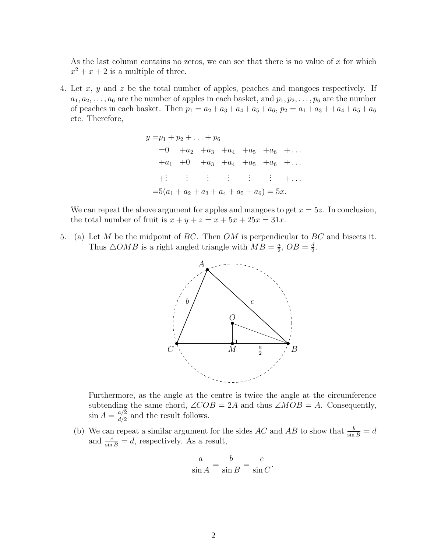As the last column contains no zeros, we can see that there is no value of  $x$  for which  $x^2 + x + 2$  is a multiple of three.

4. Let x, y and z be the total number of apples, peaches and mangoes respectively. If  $a_1, a_2, \ldots, a_6$  are the number of apples in each basket, and  $p_1, p_2, \ldots, p_6$  are the number of peaches in each basket. Then  $p_1 = a_2 + a_3 + a_4 + a_5 + a_6$ ,  $p_2 = a_1 + a_3 + a_4 + a_5 + a_6$ etc. Therefore,

$$
y = p_1 + p_2 + \dots + p_6
$$
  
= 0 + a<sub>2</sub> + a<sub>3</sub> + a<sub>4</sub> + a<sub>5</sub> + a<sub>6</sub> + ...  
+ a<sub>1</sub> + 0 + a<sub>3</sub> + a<sub>4</sub> + a<sub>5</sub> + a<sub>6</sub> + ...  
+: : : : : : : : : + ...  
= 5(a<sub>1</sub> + a<sub>2</sub> + a<sub>3</sub> + a<sub>4</sub> + a<sub>5</sub> + a<sub>6</sub>) = 5x.

We can repeat the above argument for apples and mangoes to get  $x = 5z$ . In conclusion, the total number of fruit is  $x + y + z = x + 5x + 25x = 31x$ .

5. (a) Let M be the midpoint of BC. Then OM is perpendicular to BC and bisects it. Thus  $\triangle OMB$  is a right angled triangle with  $MB = \frac{a}{2}$  $\frac{a}{2}$ ,  $OB = \frac{d}{2}$  $\frac{d}{2}$ .



Furthermore, as the angle at the centre is twice the angle at the circumference subtending the same chord,  $\angle COB = 2A$  and thus  $\angle MOB = A$ . Consequently,  $\sin A = \frac{a/2}{d/2}$  $\frac{a/2}{d/2}$  and the result follows.

(b) We can repeat a similar argument for the sides AC and AB to show that  $\frac{b}{\sin B} = d$ and  $\frac{c}{\sin B} = d$ , respectively. As a result,

$$
\frac{a}{\sin A} = \frac{b}{\sin B} = \frac{c}{\sin C}.
$$